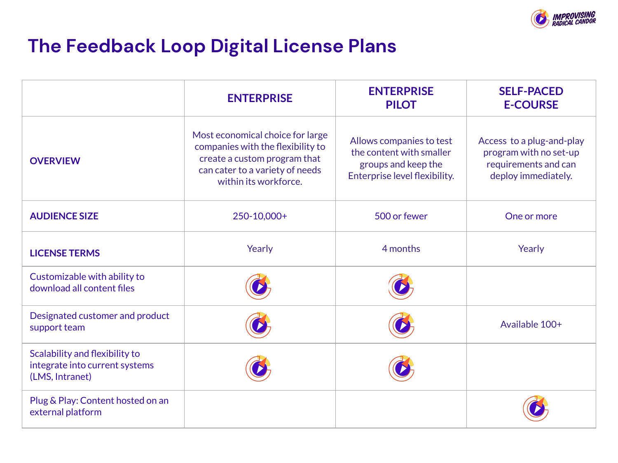

## **The Feedback Loop Digital License Plans**

|                                                                                     | <b>ENTERPRISE</b>                                                                                                                                                 | <b>ENTERPRISE</b><br><b>PILOT</b>                                                                            | <b>SELF-PACED</b><br><b>E-COURSE</b>                                                               |
|-------------------------------------------------------------------------------------|-------------------------------------------------------------------------------------------------------------------------------------------------------------------|--------------------------------------------------------------------------------------------------------------|----------------------------------------------------------------------------------------------------|
| <b>OVERVIEW</b>                                                                     | Most economical choice for large<br>companies with the flexibility to<br>create a custom program that<br>can cater to a variety of needs<br>within its workforce. | Allows companies to test<br>the content with smaller<br>groups and keep the<br>Enterprise level flexibility. | Access to a plug-and-play<br>program with no set-up<br>requirements and can<br>deploy immediately. |
| <b>AUDIENCE SIZE</b>                                                                | 250-10,000+                                                                                                                                                       | 500 or fewer                                                                                                 | One or more                                                                                        |
| <b>LICENSE TERMS</b>                                                                | Yearly                                                                                                                                                            | 4 months                                                                                                     | Yearly                                                                                             |
| Customizable with ability to<br>download all content files                          |                                                                                                                                                                   |                                                                                                              |                                                                                                    |
| Designated customer and product<br>support team                                     |                                                                                                                                                                   |                                                                                                              | Available 100+                                                                                     |
| Scalability and flexibility to<br>integrate into current systems<br>(LMS, Intranet) |                                                                                                                                                                   |                                                                                                              |                                                                                                    |
| Plug & Play: Content hosted on an<br>external platform                              |                                                                                                                                                                   |                                                                                                              |                                                                                                    |